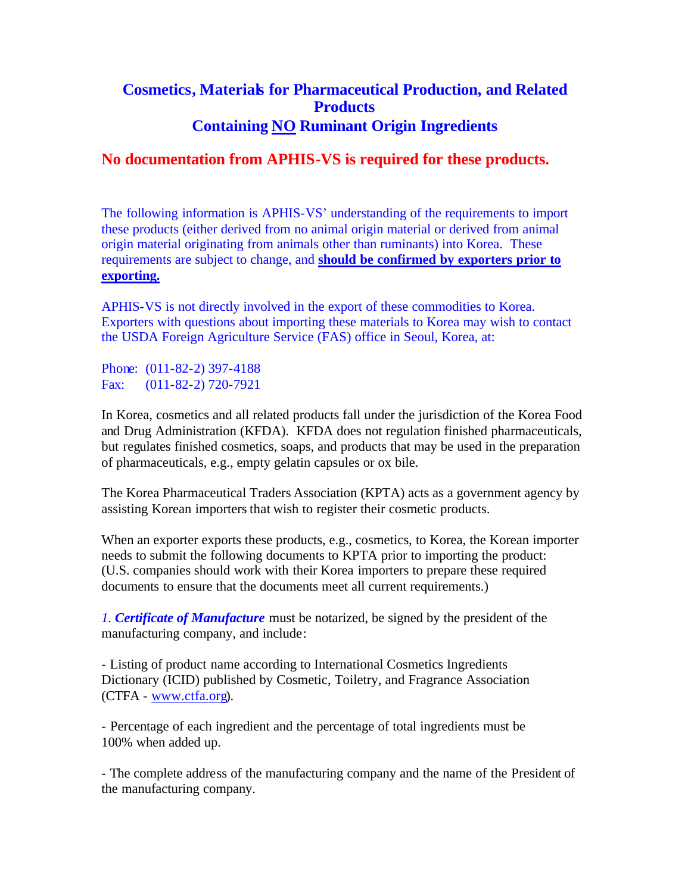## **Cosmetics, Materials for Pharmaceutical Production, and Related Products Containing NO Ruminant Origin Ingredients**

## **No documentation from APHIS-VS is required for these products.**

The following information is APHIS-VS' understanding of the requirements to import these products (either derived from no animal origin material or derived from animal origin material originating from animals other than ruminants) into Korea. These requirements are subject to change, and **should be confirmed by exporters prior to exporting.** 

APHIS-VS is not directly involved in the export of these commodities to Korea. Exporters with questions about importing these materials to Korea may wish to contact the USDA Foreign Agriculture Service (FAS) office in Seoul, Korea, at:

Phone: (011-82-2) 397-4188 Fax: (011-82-2) 720-7921

In Korea, cosmetics and all related products fall under the jurisdiction of the Korea Food and Drug Administration (KFDA). KFDA does not regulation finished pharmaceuticals, but regulates finished cosmetics, soaps, and products that may be used in the preparation of pharmaceuticals, e.g., empty gelatin capsules or ox bile.

The Korea Pharmaceutical Traders Association (KPTA) acts as a government agency by assisting Korean importers that wish to register their cosmetic products.

When an exporter exports these products, e.g., cosmetics, to Korea, the Korean importer needs to submit the following documents to KPTA prior to importing the product: (U.S. companies should work with their Korea importers to prepare these required documents to ensure that the documents meet all current requirements.)

*1. Certificate of Manufacture* must be notarized, be signed by the president of the manufacturing company, and include:

- Listing of product name according to International Cosmetics Ingredients Dictionary (ICID) published by Cosmetic, Toiletry, and Fragrance Association (CTFA - www.ctfa.org).

- Percentage of each ingredient and the percentage of total ingredients must be 100% when added up.

- The complete address of the manufacturing company and the name of the President of the manufacturing company.